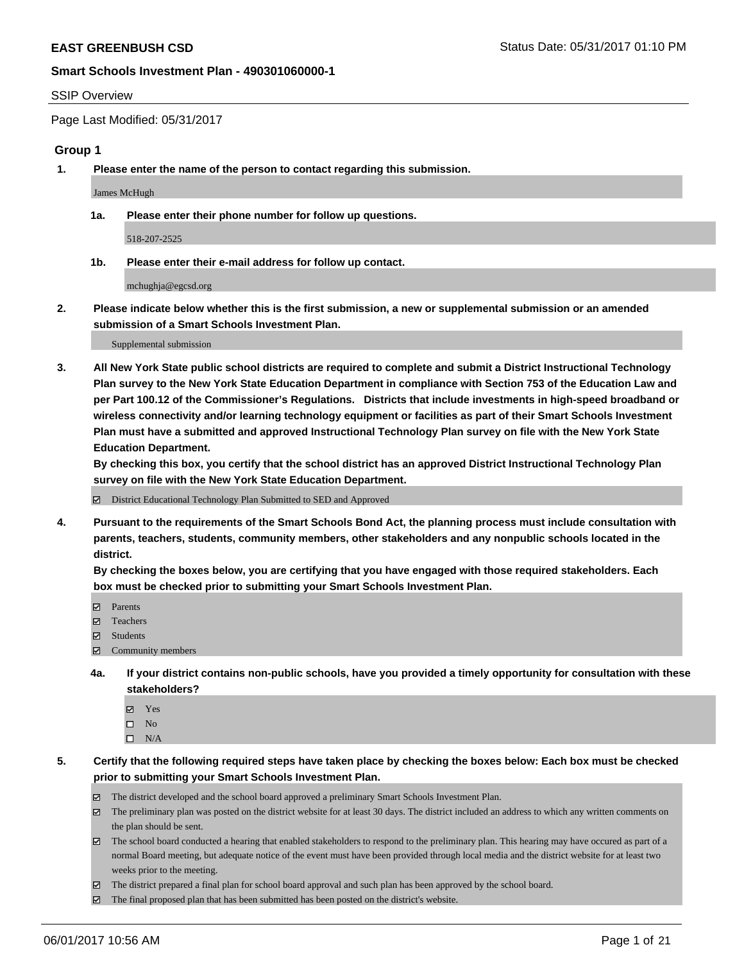#### SSIP Overview

Page Last Modified: 05/31/2017

#### **Group 1**

**1. Please enter the name of the person to contact regarding this submission.**

James McHugh

**1a. Please enter their phone number for follow up questions.**

518-207-2525

**1b. Please enter their e-mail address for follow up contact.**

mchughja@egcsd.org

**2. Please indicate below whether this is the first submission, a new or supplemental submission or an amended submission of a Smart Schools Investment Plan.**

Supplemental submission

**3. All New York State public school districts are required to complete and submit a District Instructional Technology Plan survey to the New York State Education Department in compliance with Section 753 of the Education Law and per Part 100.12 of the Commissioner's Regulations. Districts that include investments in high-speed broadband or wireless connectivity and/or learning technology equipment or facilities as part of their Smart Schools Investment Plan must have a submitted and approved Instructional Technology Plan survey on file with the New York State Education Department.** 

**By checking this box, you certify that the school district has an approved District Instructional Technology Plan survey on file with the New York State Education Department.**

District Educational Technology Plan Submitted to SED and Approved

**4. Pursuant to the requirements of the Smart Schools Bond Act, the planning process must include consultation with parents, teachers, students, community members, other stakeholders and any nonpublic schools located in the district.** 

**By checking the boxes below, you are certifying that you have engaged with those required stakeholders. Each box must be checked prior to submitting your Smart Schools Investment Plan.**

- **マ** Parents
- □ Teachers
- Students
- $\Xi$  Community members
- **4a. If your district contains non-public schools, have you provided a timely opportunity for consultation with these stakeholders?**
	- Yes
	- $\hfill \square$  No
	- $\square$  N/A
- **5. Certify that the following required steps have taken place by checking the boxes below: Each box must be checked prior to submitting your Smart Schools Investment Plan.**
	- The district developed and the school board approved a preliminary Smart Schools Investment Plan.
	- $\boxtimes$  The preliminary plan was posted on the district website for at least 30 days. The district included an address to which any written comments on the plan should be sent.
	- $\boxtimes$  The school board conducted a hearing that enabled stakeholders to respond to the preliminary plan. This hearing may have occured as part of a normal Board meeting, but adequate notice of the event must have been provided through local media and the district website for at least two weeks prior to the meeting.
	- The district prepared a final plan for school board approval and such plan has been approved by the school board.
	- $\boxtimes$  The final proposed plan that has been submitted has been posted on the district's website.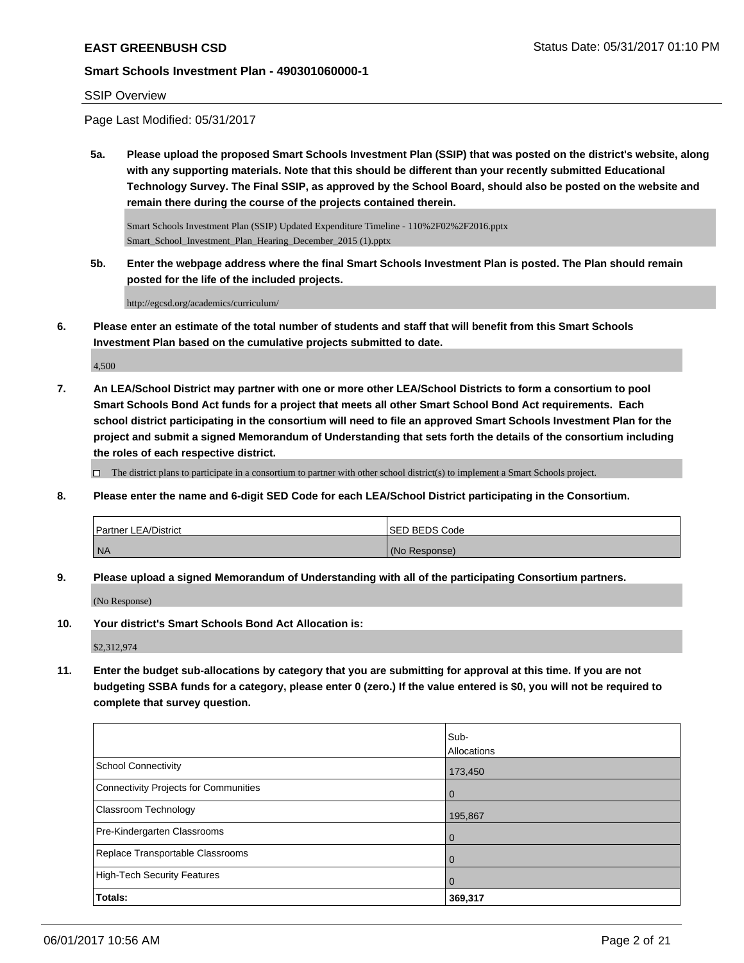#### SSIP Overview

Page Last Modified: 05/31/2017

**5a. Please upload the proposed Smart Schools Investment Plan (SSIP) that was posted on the district's website, along with any supporting materials. Note that this should be different than your recently submitted Educational Technology Survey. The Final SSIP, as approved by the School Board, should also be posted on the website and remain there during the course of the projects contained therein.**

Smart Schools Investment Plan (SSIP) Updated Expenditure Timeline - 110%2F02%2F2016.pptx Smart\_School\_Investment\_Plan\_Hearing\_December\_2015 (1).pptx

**5b. Enter the webpage address where the final Smart Schools Investment Plan is posted. The Plan should remain posted for the life of the included projects.**

http://egcsd.org/academics/curriculum/

**6. Please enter an estimate of the total number of students and staff that will benefit from this Smart Schools Investment Plan based on the cumulative projects submitted to date.**

4,500

**7. An LEA/School District may partner with one or more other LEA/School Districts to form a consortium to pool Smart Schools Bond Act funds for a project that meets all other Smart School Bond Act requirements. Each school district participating in the consortium will need to file an approved Smart Schools Investment Plan for the project and submit a signed Memorandum of Understanding that sets forth the details of the consortium including the roles of each respective district.**

 $\Box$  The district plans to participate in a consortium to partner with other school district(s) to implement a Smart Schools project.

**8. Please enter the name and 6-digit SED Code for each LEA/School District participating in the Consortium.**

| <b>Partner LEA/District</b> | <b>SED BEDS Code</b> |
|-----------------------------|----------------------|
| NA                          | (No Response)        |

**9. Please upload a signed Memorandum of Understanding with all of the participating Consortium partners.**

(No Response)

**10. Your district's Smart Schools Bond Act Allocation is:**

\$2,312,974

**11. Enter the budget sub-allocations by category that you are submitting for approval at this time. If you are not budgeting SSBA funds for a category, please enter 0 (zero.) If the value entered is \$0, you will not be required to complete that survey question.**

|                                       | Sub-           |
|---------------------------------------|----------------|
|                                       | Allocations    |
| School Connectivity                   | 173,450        |
| Connectivity Projects for Communities | l O            |
| <b>Classroom Technology</b>           | 195,867        |
| Pre-Kindergarten Classrooms           | l O            |
| Replace Transportable Classrooms      | $\Omega$       |
| High-Tech Security Features           | $\overline{0}$ |
| <b>Totals:</b>                        | 369,317        |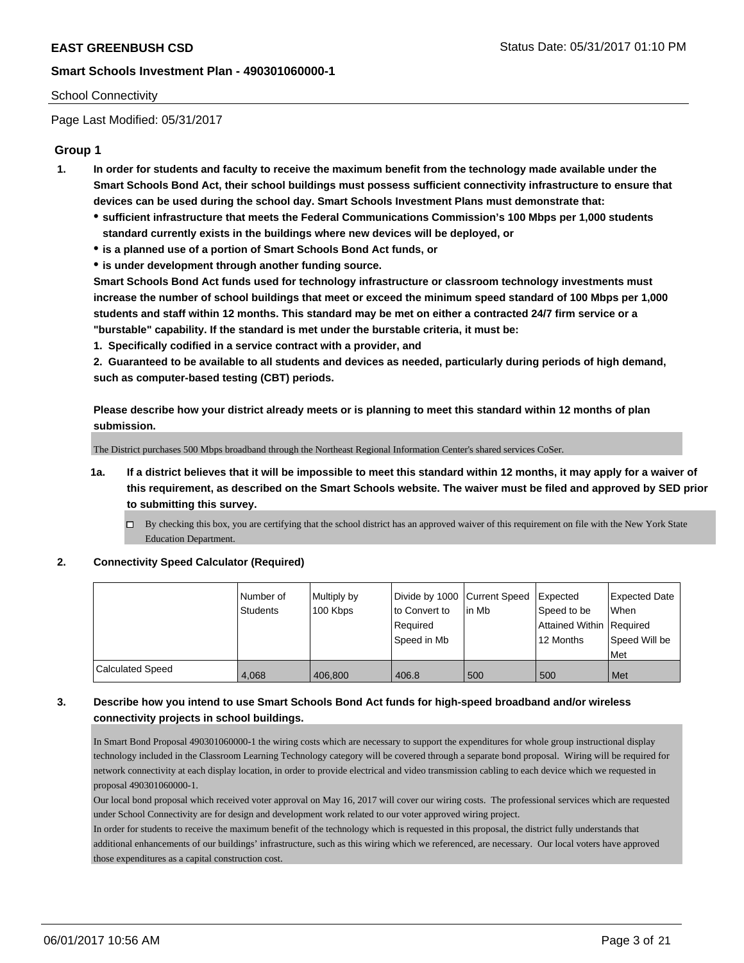## School Connectivity

Page Last Modified: 05/31/2017

## **Group 1**

- **1. In order for students and faculty to receive the maximum benefit from the technology made available under the Smart Schools Bond Act, their school buildings must possess sufficient connectivity infrastructure to ensure that devices can be used during the school day. Smart Schools Investment Plans must demonstrate that:**
	- **sufficient infrastructure that meets the Federal Communications Commission's 100 Mbps per 1,000 students standard currently exists in the buildings where new devices will be deployed, or**
	- **is a planned use of a portion of Smart Schools Bond Act funds, or**
	- **is under development through another funding source.**

**Smart Schools Bond Act funds used for technology infrastructure or classroom technology investments must increase the number of school buildings that meet or exceed the minimum speed standard of 100 Mbps per 1,000 students and staff within 12 months. This standard may be met on either a contracted 24/7 firm service or a "burstable" capability. If the standard is met under the burstable criteria, it must be:**

**1. Specifically codified in a service contract with a provider, and**

**2. Guaranteed to be available to all students and devices as needed, particularly during periods of high demand, such as computer-based testing (CBT) periods.**

**Please describe how your district already meets or is planning to meet this standard within 12 months of plan submission.**

The District purchases 500 Mbps broadband through the Northeast Regional Information Center's shared services CoSer.

- **1a. If a district believes that it will be impossible to meet this standard within 12 months, it may apply for a waiver of this requirement, as described on the Smart Schools website. The waiver must be filed and approved by SED prior to submitting this survey.**
	- By checking this box, you are certifying that the school district has an approved waiver of this requirement on file with the New York State Education Department.

#### **2. Connectivity Speed Calculator (Required)**

|                         | Number of       | Multiply by | Divide by 1000 Current Speed |        | Expected                   | <b>Expected Date</b> |
|-------------------------|-----------------|-------------|------------------------------|--------|----------------------------|----------------------|
|                         | <b>Students</b> | 100 Kbps    | to Convert to                | lin Mb | Speed to be                | When                 |
|                         |                 |             | Required                     |        | Attained Within   Required |                      |
|                         |                 |             | l Speed in Mb                |        | 12 Months                  | Speed Will be        |
|                         |                 |             |                              |        |                            | Met                  |
| <b>Calculated Speed</b> | 4.068           | 406,800     | 406.8                        | 500    | 500                        | Met                  |

### **3. Describe how you intend to use Smart Schools Bond Act funds for high-speed broadband and/or wireless connectivity projects in school buildings.**

In Smart Bond Proposal 490301060000-1 the wiring costs which are necessary to support the expenditures for whole group instructional display technology included in the Classroom Learning Technology category will be covered through a separate bond proposal. Wiring will be required for network connectivity at each display location, in order to provide electrical and video transmission cabling to each device which we requested in proposal 490301060000-1.

Our local bond proposal which received voter approval on May 16, 2017 will cover our wiring costs. The professional services which are requested under School Connectivity are for design and development work related to our voter approved wiring project.

In order for students to receive the maximum benefit of the technology which is requested in this proposal, the district fully understands that additional enhancements of our buildings' infrastructure, such as this wiring which we referenced, are necessary. Our local voters have approved those expenditures as a capital construction cost.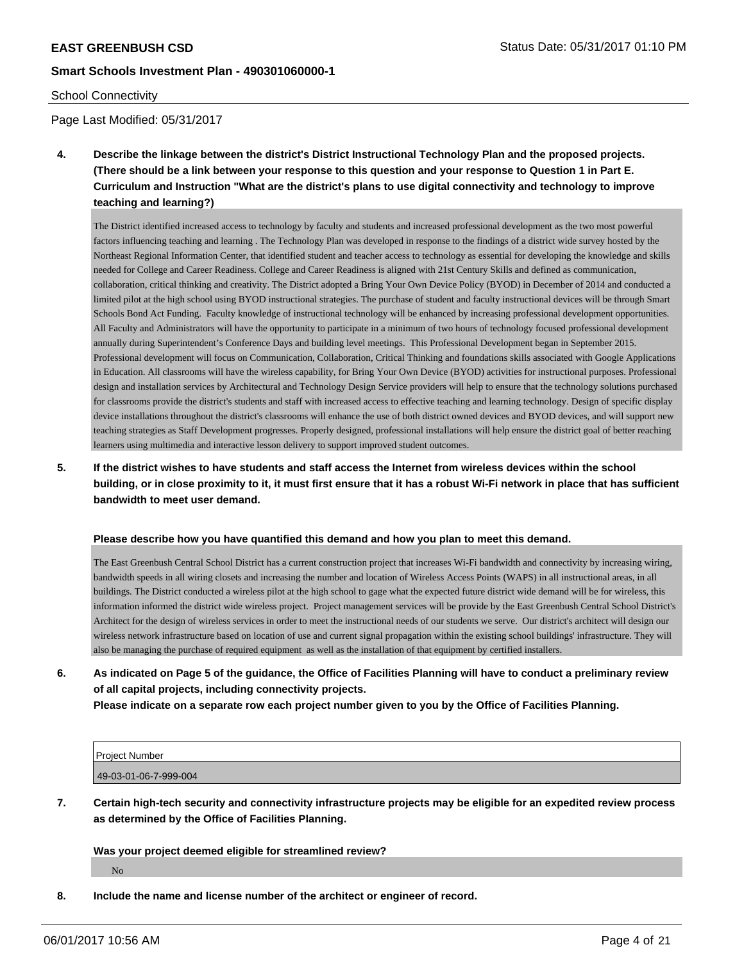#### School Connectivity

Page Last Modified: 05/31/2017

**4. Describe the linkage between the district's District Instructional Technology Plan and the proposed projects. (There should be a link between your response to this question and your response to Question 1 in Part E. Curriculum and Instruction "What are the district's plans to use digital connectivity and technology to improve teaching and learning?)**

The District identified increased access to technology by faculty and students and increased professional development as the two most powerful factors influencing teaching and learning . The Technology Plan was developed in response to the findings of a district wide survey hosted by the Northeast Regional Information Center, that identified student and teacher access to technology as essential for developing the knowledge and skills needed for College and Career Readiness. College and Career Readiness is aligned with 21st Century Skills and defined as communication, collaboration, critical thinking and creativity. The District adopted a Bring Your Own Device Policy (BYOD) in December of 2014 and conducted a limited pilot at the high school using BYOD instructional strategies. The purchase of student and faculty instructional devices will be through Smart Schools Bond Act Funding. Faculty knowledge of instructional technology will be enhanced by increasing professional development opportunities. All Faculty and Administrators will have the opportunity to participate in a minimum of two hours of technology focused professional development annually during Superintendent's Conference Days and building level meetings. This Professional Development began in September 2015. Professional development will focus on Communication, Collaboration, Critical Thinking and foundations skills associated with Google Applications in Education. All classrooms will have the wireless capability, for Bring Your Own Device (BYOD) activities for instructional purposes. Professional design and installation services by Architectural and Technology Design Service providers will help to ensure that the technology solutions purchased for classrooms provide the district's students and staff with increased access to effective teaching and learning technology. Design of specific display device installations throughout the district's classrooms will enhance the use of both district owned devices and BYOD devices, and will support new teaching strategies as Staff Development progresses. Properly designed, professional installations will help ensure the district goal of better reaching learners using multimedia and interactive lesson delivery to support improved student outcomes.

**5. If the district wishes to have students and staff access the Internet from wireless devices within the school building, or in close proximity to it, it must first ensure that it has a robust Wi-Fi network in place that has sufficient bandwidth to meet user demand.**

#### **Please describe how you have quantified this demand and how you plan to meet this demand.**

The East Greenbush Central School District has a current construction project that increases Wi-Fi bandwidth and connectivity by increasing wiring, bandwidth speeds in all wiring closets and increasing the number and location of Wireless Access Points (WAPS) in all instructional areas, in all buildings. The District conducted a wireless pilot at the high school to gage what the expected future district wide demand will be for wireless, this information informed the district wide wireless project. Project management services will be provide by the East Greenbush Central School District's Architect for the design of wireless services in order to meet the instructional needs of our students we serve. Our district's architect will design our wireless network infrastructure based on location of use and current signal propagation within the existing school buildings' infrastructure. They will also be managing the purchase of required equipment as well as the installation of that equipment by certified installers.

**6. As indicated on Page 5 of the guidance, the Office of Facilities Planning will have to conduct a preliminary review of all capital projects, including connectivity projects.**

**Please indicate on a separate row each project number given to you by the Office of Facilities Planning.**

| ⊩Proiect Number       |
|-----------------------|
| 49-03-01-06-7-999-004 |

**7. Certain high-tech security and connectivity infrastructure projects may be eligible for an expedited review process as determined by the Office of Facilities Planning.**

**Was your project deemed eligible for streamlined review?**

No

**8. Include the name and license number of the architect or engineer of record.**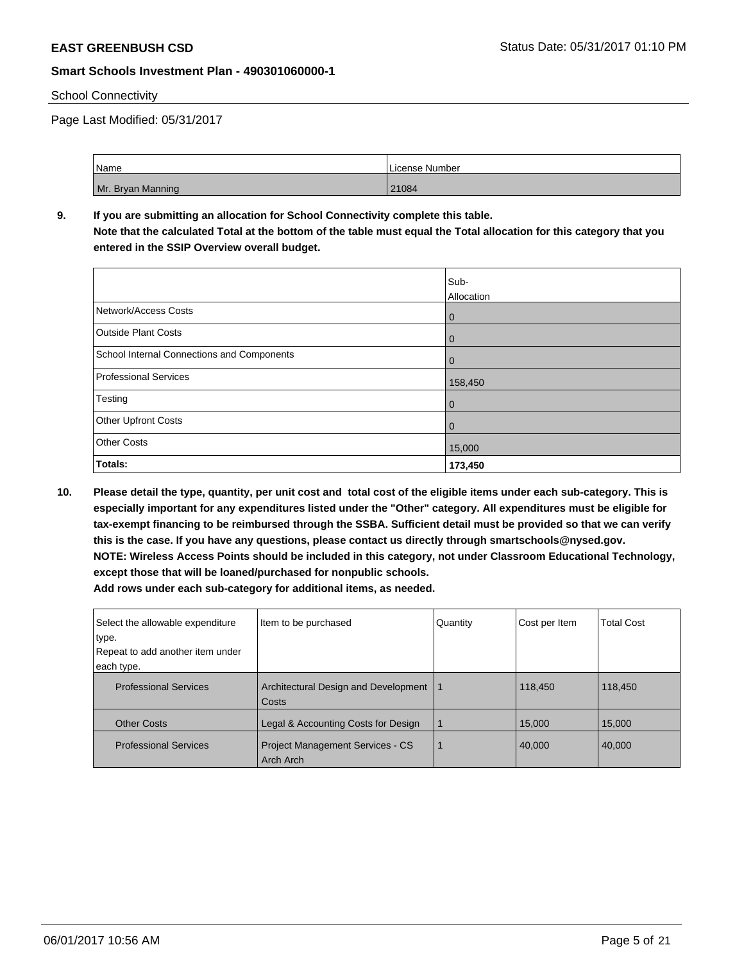### School Connectivity

Page Last Modified: 05/31/2017

| Name              | License Number |
|-------------------|----------------|
| Mr. Bryan Manning | 21084          |

# **9. If you are submitting an allocation for School Connectivity complete this table. Note that the calculated Total at the bottom of the table must equal the Total allocation for this category that you**

**entered in the SSIP Overview overall budget.** 

|                                            | Sub-<br>Allocation |
|--------------------------------------------|--------------------|
| Network/Access Costs                       | 0                  |
| <b>Outside Plant Costs</b>                 | 0                  |
| School Internal Connections and Components | 0                  |
| <b>Professional Services</b>               | 158,450            |
| Testing                                    | 0                  |
| <b>Other Upfront Costs</b>                 | 0                  |
| <b>Other Costs</b>                         | 15,000             |
| Totals:                                    | 173,450            |

**10. Please detail the type, quantity, per unit cost and total cost of the eligible items under each sub-category. This is especially important for any expenditures listed under the "Other" category. All expenditures must be eligible for tax-exempt financing to be reimbursed through the SSBA. Sufficient detail must be provided so that we can verify this is the case. If you have any questions, please contact us directly through smartschools@nysed.gov. NOTE: Wireless Access Points should be included in this category, not under Classroom Educational Technology, except those that will be loaned/purchased for nonpublic schools. Add rows under each sub-category for additional items, as needed.**

| Select the allowable expenditure<br>type. | Item to be purchased                                 | Quantity | Cost per Item | <b>Total Cost</b> |
|-------------------------------------------|------------------------------------------------------|----------|---------------|-------------------|
| Repeat to add another item under          |                                                      |          |               |                   |
| each type.                                |                                                      |          |               |                   |
| <b>Professional Services</b>              | Architectural Design and Development<br>Costs        |          | 118,450       | 118,450           |
| <b>Other Costs</b>                        | Legal & Accounting Costs for Design                  |          | 15,000        | 15,000            |
| <b>Professional Services</b>              | <b>Project Management Services - CS</b><br>Arch Arch |          | 40,000        | 40,000            |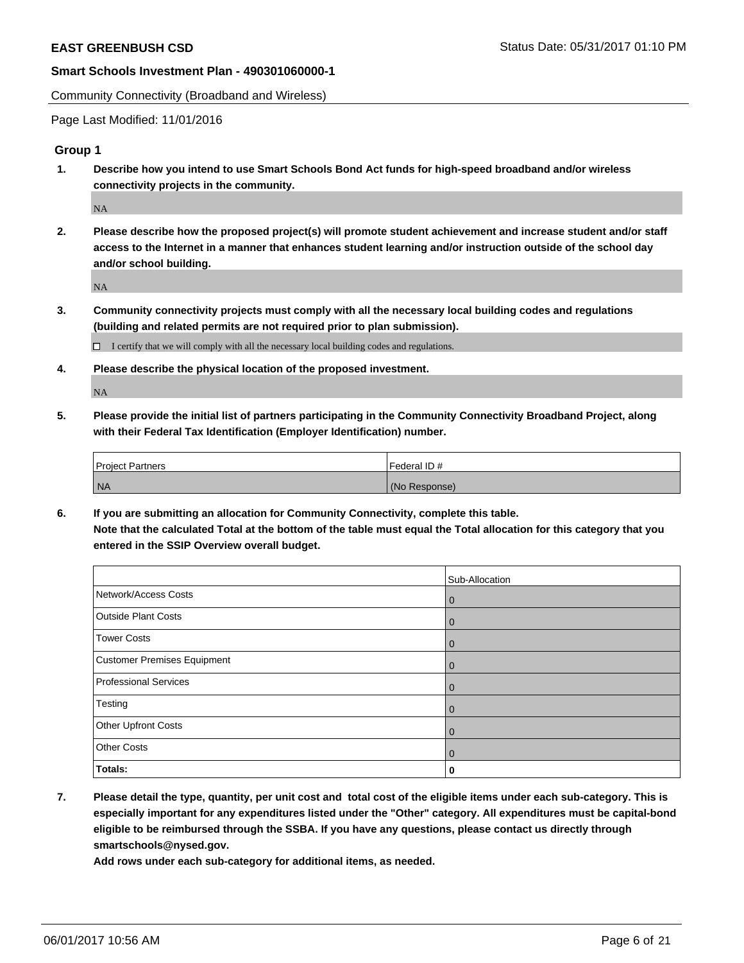Community Connectivity (Broadband and Wireless)

Page Last Modified: 11/01/2016

### **Group 1**

**1. Describe how you intend to use Smart Schools Bond Act funds for high-speed broadband and/or wireless connectivity projects in the community.**

NA

**2. Please describe how the proposed project(s) will promote student achievement and increase student and/or staff access to the Internet in a manner that enhances student learning and/or instruction outside of the school day and/or school building.**

NA

**3. Community connectivity projects must comply with all the necessary local building codes and regulations (building and related permits are not required prior to plan submission).**

 $\Box$  I certify that we will comply with all the necessary local building codes and regulations.

**4. Please describe the physical location of the proposed investment.**

NA

**5. Please provide the initial list of partners participating in the Community Connectivity Broadband Project, along with their Federal Tax Identification (Employer Identification) number.**

| <b>Project Partners</b> | Federal ID#   |
|-------------------------|---------------|
| <b>NA</b>               | (No Response) |

**6. If you are submitting an allocation for Community Connectivity, complete this table. Note that the calculated Total at the bottom of the table must equal the Total allocation for this category that you entered in the SSIP Overview overall budget.**

|                              | Sub-Allocation |
|------------------------------|----------------|
| Network/Access Costs         | $\mathbf{0}$   |
| <b>Outside Plant Costs</b>   | $\mathbf 0$    |
| <b>Tower Costs</b>           | $\mathbf{0}$   |
| Customer Premises Equipment  | $\Omega$       |
| <b>Professional Services</b> | $\overline{0}$ |
| Testing                      | $\mathbf{0}$   |
| Other Upfront Costs          | $\overline{0}$ |
| <b>Other Costs</b>           | $\mathbf 0$    |
| Totals:                      | 0              |

**7. Please detail the type, quantity, per unit cost and total cost of the eligible items under each sub-category. This is especially important for any expenditures listed under the "Other" category. All expenditures must be capital-bond eligible to be reimbursed through the SSBA. If you have any questions, please contact us directly through smartschools@nysed.gov.**

**Add rows under each sub-category for additional items, as needed.**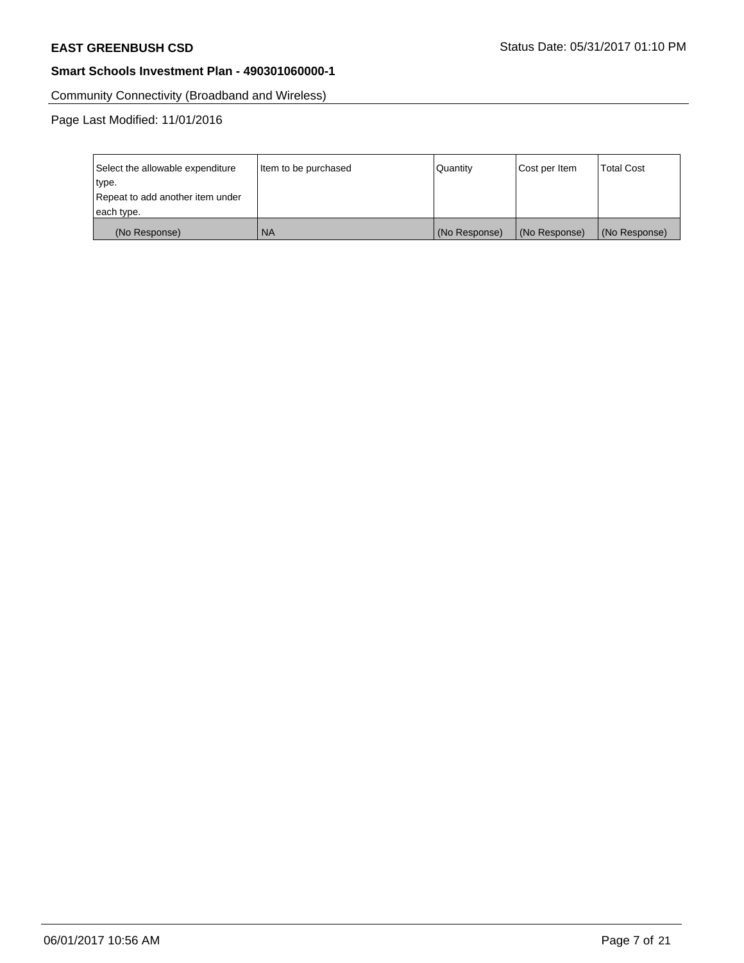Community Connectivity (Broadband and Wireless)

Page Last Modified: 11/01/2016

| Select the allowable expenditure<br>type.<br>Repeat to add another item under | Item to be purchased | <b>Quantity</b> | Cost per Item | <b>Total Cost</b> |
|-------------------------------------------------------------------------------|----------------------|-----------------|---------------|-------------------|
| each type.                                                                    |                      |                 |               |                   |
| (No Response)                                                                 | <b>NA</b>            | (No Response)   | (No Response) | (No Response)     |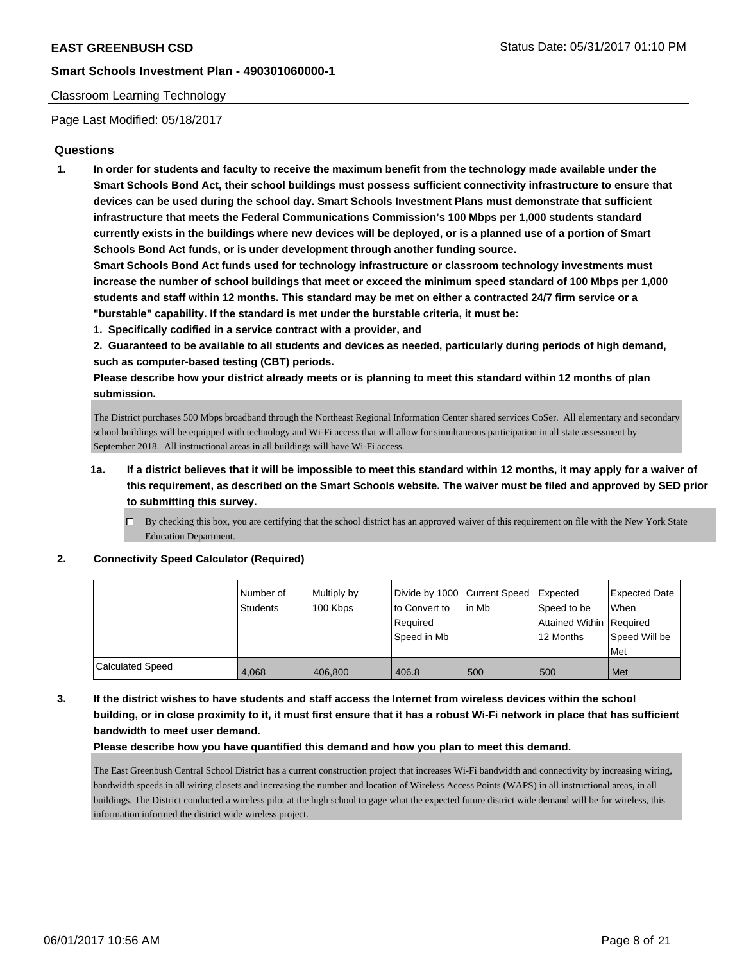## Classroom Learning Technology

Page Last Modified: 05/18/2017

## **Questions**

**1. In order for students and faculty to receive the maximum benefit from the technology made available under the Smart Schools Bond Act, their school buildings must possess sufficient connectivity infrastructure to ensure that devices can be used during the school day. Smart Schools Investment Plans must demonstrate that sufficient infrastructure that meets the Federal Communications Commission's 100 Mbps per 1,000 students standard currently exists in the buildings where new devices will be deployed, or is a planned use of a portion of Smart Schools Bond Act funds, or is under development through another funding source.**

**Smart Schools Bond Act funds used for technology infrastructure or classroom technology investments must increase the number of school buildings that meet or exceed the minimum speed standard of 100 Mbps per 1,000 students and staff within 12 months. This standard may be met on either a contracted 24/7 firm service or a "burstable" capability. If the standard is met under the burstable criteria, it must be:**

- **1. Specifically codified in a service contract with a provider, and**
- **2. Guaranteed to be available to all students and devices as needed, particularly during periods of high demand, such as computer-based testing (CBT) periods.**

**Please describe how your district already meets or is planning to meet this standard within 12 months of plan submission.**

The District purchases 500 Mbps broadband through the Northeast Regional Information Center shared services CoSer. All elementary and secondary school buildings will be equipped with technology and Wi-Fi access that will allow for simultaneous participation in all state assessment by September 2018. All instructional areas in all buildings will have Wi-Fi access.

- **1a. If a district believes that it will be impossible to meet this standard within 12 months, it may apply for a waiver of this requirement, as described on the Smart Schools website. The waiver must be filed and approved by SED prior to submitting this survey.**
	- $\Box$  By checking this box, you are certifying that the school district has an approved waiver of this requirement on file with the New York State Education Department.

**2. Connectivity Speed Calculator (Required)**

|                         | Number of<br><b>Students</b> | Multiply by<br>100 Kbps | Divide by 1000 Current Speed<br>to Convert to<br>Required<br>Speed in Mb | in Mb | <b>I</b> Expected<br>Speed to be<br>Attained Within   Required<br>12 Months | <b>Expected Date</b><br><b>When</b><br>Speed Will be<br>Met |
|-------------------------|------------------------------|-------------------------|--------------------------------------------------------------------------|-------|-----------------------------------------------------------------------------|-------------------------------------------------------------|
| <b>Calculated Speed</b> | 4.068                        | 406,800                 | 406.8                                                                    | 500   | 500                                                                         | Met                                                         |

**3. If the district wishes to have students and staff access the Internet from wireless devices within the school building, or in close proximity to it, it must first ensure that it has a robust Wi-Fi network in place that has sufficient bandwidth to meet user demand.**

**Please describe how you have quantified this demand and how you plan to meet this demand.**

The East Greenbush Central School District has a current construction project that increases Wi-Fi bandwidth and connectivity by increasing wiring, bandwidth speeds in all wiring closets and increasing the number and location of Wireless Access Points (WAPS) in all instructional areas, in all buildings. The District conducted a wireless pilot at the high school to gage what the expected future district wide demand will be for wireless, this information informed the district wide wireless project.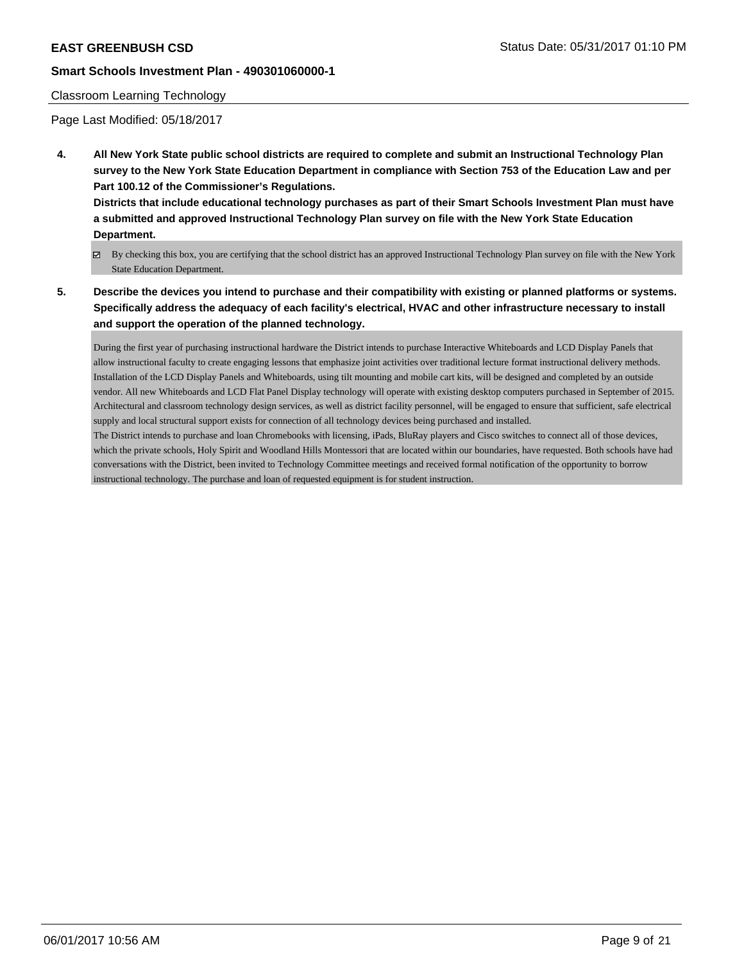## Classroom Learning Technology

Page Last Modified: 05/18/2017

**4. All New York State public school districts are required to complete and submit an Instructional Technology Plan survey to the New York State Education Department in compliance with Section 753 of the Education Law and per Part 100.12 of the Commissioner's Regulations.**

**Districts that include educational technology purchases as part of their Smart Schools Investment Plan must have a submitted and approved Instructional Technology Plan survey on file with the New York State Education Department.**

- By checking this box, you are certifying that the school district has an approved Instructional Technology Plan survey on file with the New York State Education Department.
- **5. Describe the devices you intend to purchase and their compatibility with existing or planned platforms or systems. Specifically address the adequacy of each facility's electrical, HVAC and other infrastructure necessary to install and support the operation of the planned technology.**

During the first year of purchasing instructional hardware the District intends to purchase Interactive Whiteboards and LCD Display Panels that allow instructional faculty to create engaging lessons that emphasize joint activities over traditional lecture format instructional delivery methods. Installation of the LCD Display Panels and Whiteboards, using tilt mounting and mobile cart kits, will be designed and completed by an outside vendor. All new Whiteboards and LCD Flat Panel Display technology will operate with existing desktop computers purchased in September of 2015. Architectural and classroom technology design services, as well as district facility personnel, will be engaged to ensure that sufficient, safe electrical supply and local structural support exists for connection of all technology devices being purchased and installed.

The District intends to purchase and loan Chromebooks with licensing, iPads, BluRay players and Cisco switches to connect all of those devices, which the private schools, Holy Spirit and Woodland Hills Montessori that are located within our boundaries, have requested. Both schools have had conversations with the District, been invited to Technology Committee meetings and received formal notification of the opportunity to borrow instructional technology. The purchase and loan of requested equipment is for student instruction.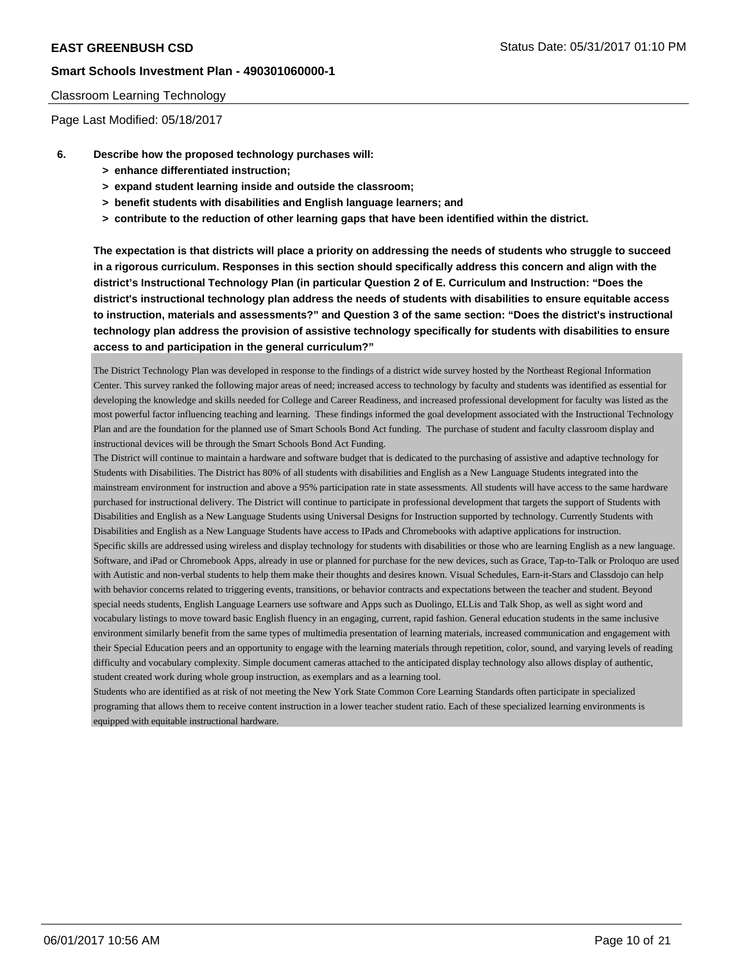#### Classroom Learning Technology

Page Last Modified: 05/18/2017

- **6. Describe how the proposed technology purchases will:**
	- **> enhance differentiated instruction;**
	- **> expand student learning inside and outside the classroom;**
	- **> benefit students with disabilities and English language learners; and**
	- **> contribute to the reduction of other learning gaps that have been identified within the district.**

**The expectation is that districts will place a priority on addressing the needs of students who struggle to succeed in a rigorous curriculum. Responses in this section should specifically address this concern and align with the district's Instructional Technology Plan (in particular Question 2 of E. Curriculum and Instruction: "Does the district's instructional technology plan address the needs of students with disabilities to ensure equitable access to instruction, materials and assessments?" and Question 3 of the same section: "Does the district's instructional technology plan address the provision of assistive technology specifically for students with disabilities to ensure access to and participation in the general curriculum?"**

The District Technology Plan was developed in response to the findings of a district wide survey hosted by the Northeast Regional Information Center. This survey ranked the following major areas of need; increased access to technology by faculty and students was identified as essential for developing the knowledge and skills needed for College and Career Readiness, and increased professional development for faculty was listed as the most powerful factor influencing teaching and learning. These findings informed the goal development associated with the Instructional Technology Plan and are the foundation for the planned use of Smart Schools Bond Act funding. The purchase of student and faculty classroom display and instructional devices will be through the Smart Schools Bond Act Funding.

The District will continue to maintain a hardware and software budget that is dedicated to the purchasing of assistive and adaptive technology for Students with Disabilities. The District has 80% of all students with disabilities and English as a New Language Students integrated into the mainstream environment for instruction and above a 95% participation rate in state assessments. All students will have access to the same hardware purchased for instructional delivery. The District will continue to participate in professional development that targets the support of Students with Disabilities and English as a New Language Students using Universal Designs for Instruction supported by technology. Currently Students with Disabilities and English as a New Language Students have access to IPads and Chromebooks with adaptive applications for instruction. Specific skills are addressed using wireless and display technology for students with disabilities or those who are learning English as a new language. Software, and iPad or Chromebook Apps, already in use or planned for purchase for the new devices, such as Grace, Tap-to-Talk or Proloquo are used with Autistic and non-verbal students to help them make their thoughts and desires known. Visual Schedules, Earn-it-Stars and Classdojo can help with behavior concerns related to triggering events, transitions, or behavior contracts and expectations between the teacher and student. Beyond special needs students, English Language Learners use software and Apps such as Duolingo, ELLis and Talk Shop, as well as sight word and vocabulary listings to move toward basic English fluency in an engaging, current, rapid fashion. General education students in the same inclusive environment similarly benefit from the same types of multimedia presentation of learning materials, increased communication and engagement with their Special Education peers and an opportunity to engage with the learning materials through repetition, color, sound, and varying levels of reading difficulty and vocabulary complexity. Simple document cameras attached to the anticipated display technology also allows display of authentic, student created work during whole group instruction, as exemplars and as a learning tool.

Students who are identified as at risk of not meeting the New York State Common Core Learning Standards often participate in specialized programing that allows them to receive content instruction in a lower teacher student ratio. Each of these specialized learning environments is equipped with equitable instructional hardware.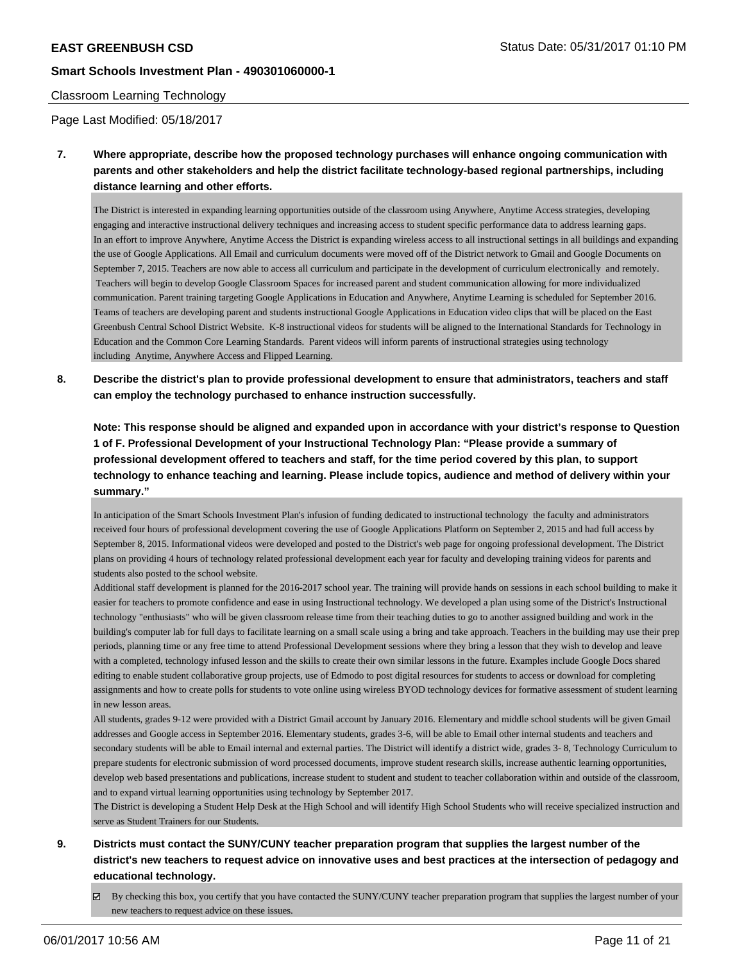#### Classroom Learning Technology

Page Last Modified: 05/18/2017

**7. Where appropriate, describe how the proposed technology purchases will enhance ongoing communication with parents and other stakeholders and help the district facilitate technology-based regional partnerships, including distance learning and other efforts.**

The District is interested in expanding learning opportunities outside of the classroom using Anywhere, Anytime Access strategies, developing engaging and interactive instructional delivery techniques and increasing access to student specific performance data to address learning gaps. In an effort to improve Anywhere, Anytime Access the District is expanding wireless access to all instructional settings in all buildings and expanding the use of Google Applications. All Email and curriculum documents were moved off of the District network to Gmail and Google Documents on September 7, 2015. Teachers are now able to access all curriculum and participate in the development of curriculum electronically and remotely. Teachers will begin to develop Google Classroom Spaces for increased parent and student communication allowing for more individualized communication. Parent training targeting Google Applications in Education and Anywhere, Anytime Learning is scheduled for September 2016. Teams of teachers are developing parent and students instructional Google Applications in Education video clips that will be placed on the East Greenbush Central School District Website. K-8 instructional videos for students will be aligned to the International Standards for Technology in Education and the Common Core Learning Standards. Parent videos will inform parents of instructional strategies using technology including Anytime, Anywhere Access and Flipped Learning.

**8. Describe the district's plan to provide professional development to ensure that administrators, teachers and staff can employ the technology purchased to enhance instruction successfully.**

**Note: This response should be aligned and expanded upon in accordance with your district's response to Question 1 of F. Professional Development of your Instructional Technology Plan: "Please provide a summary of professional development offered to teachers and staff, for the time period covered by this plan, to support technology to enhance teaching and learning. Please include topics, audience and method of delivery within your summary."**

In anticipation of the Smart Schools Investment Plan's infusion of funding dedicated to instructional technology the faculty and administrators received four hours of professional development covering the use of Google Applications Platform on September 2, 2015 and had full access by September 8, 2015. Informational videos were developed and posted to the District's web page for ongoing professional development. The District plans on providing 4 hours of technology related professional development each year for faculty and developing training videos for parents and students also posted to the school website.

Additional staff development is planned for the 2016-2017 school year. The training will provide hands on sessions in each school building to make it easier for teachers to promote confidence and ease in using Instructional technology. We developed a plan using some of the District's Instructional technology "enthusiasts" who will be given classroom release time from their teaching duties to go to another assigned building and work in the building's computer lab for full days to facilitate learning on a small scale using a bring and take approach. Teachers in the building may use their prep periods, planning time or any free time to attend Professional Development sessions where they bring a lesson that they wish to develop and leave with a completed, technology infused lesson and the skills to create their own similar lessons in the future. Examples include Google Docs shared editing to enable student collaborative group projects, use of Edmodo to post digital resources for students to access or download for completing assignments and how to create polls for students to vote online using wireless BYOD technology devices for formative assessment of student learning in new lesson areas.

All students, grades 9-12 were provided with a District Gmail account by January 2016. Elementary and middle school students will be given Gmail addresses and Google access in September 2016. Elementary students, grades 3-6, will be able to Email other internal students and teachers and secondary students will be able to Email internal and external parties. The District will identify a district wide, grades 3- 8, Technology Curriculum to prepare students for electronic submission of word processed documents, improve student research skills, increase authentic learning opportunities, develop web based presentations and publications, increase student to student and student to teacher collaboration within and outside of the classroom, and to expand virtual learning opportunities using technology by September 2017.

The District is developing a Student Help Desk at the High School and will identify High School Students who will receive specialized instruction and serve as Student Trainers for our Students.

- **9. Districts must contact the SUNY/CUNY teacher preparation program that supplies the largest number of the district's new teachers to request advice on innovative uses and best practices at the intersection of pedagogy and educational technology.**
	- $\boxtimes$  By checking this box, you certify that you have contacted the SUNY/CUNY teacher preparation program that supplies the largest number of your new teachers to request advice on these issues.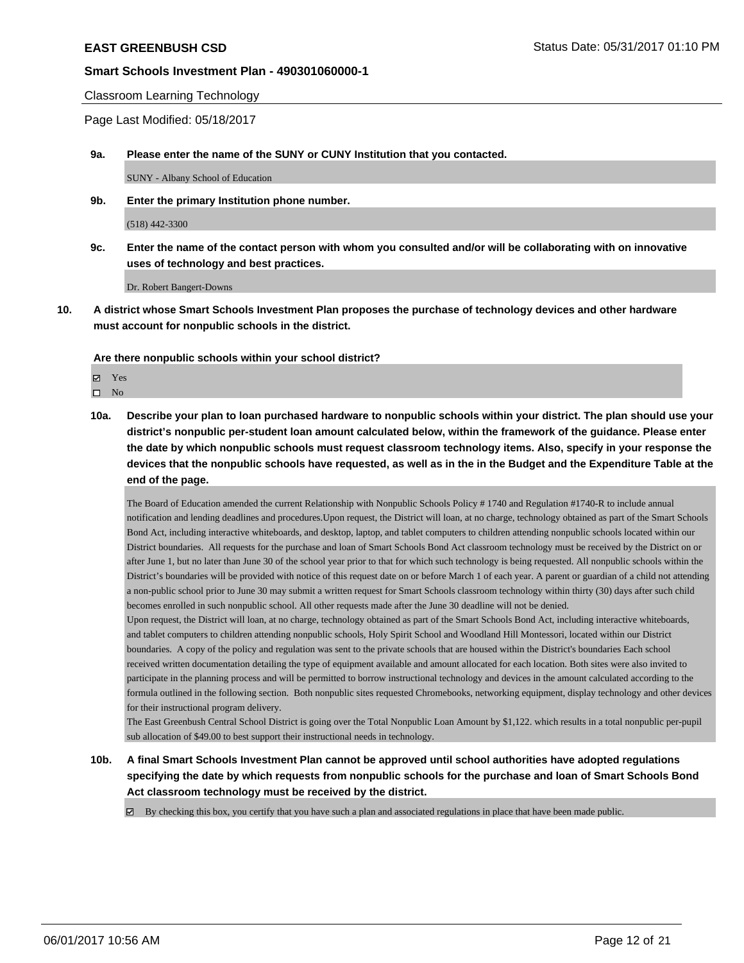Classroom Learning Technology

Page Last Modified: 05/18/2017

**9a. Please enter the name of the SUNY or CUNY Institution that you contacted.**

SUNY - Albany School of Education

**9b. Enter the primary Institution phone number.**

(518) 442-3300

**9c. Enter the name of the contact person with whom you consulted and/or will be collaborating with on innovative uses of technology and best practices.**

Dr. Robert Bangert-Downs

**10. A district whose Smart Schools Investment Plan proposes the purchase of technology devices and other hardware must account for nonpublic schools in the district.**

**Are there nonpublic schools within your school district?**

**Ø** Yes

- $\square$  No
- **10a. Describe your plan to loan purchased hardware to nonpublic schools within your district. The plan should use your district's nonpublic per-student loan amount calculated below, within the framework of the guidance. Please enter the date by which nonpublic schools must request classroom technology items. Also, specify in your response the devices that the nonpublic schools have requested, as well as in the in the Budget and the Expenditure Table at the end of the page.**

The Board of Education amended the current Relationship with Nonpublic Schools Policy # 1740 and Regulation #1740-R to include annual notification and lending deadlines and procedures.Upon request, the District will loan, at no charge, technology obtained as part of the Smart Schools Bond Act, including interactive whiteboards, and desktop, laptop, and tablet computers to children attending nonpublic schools located within our District boundaries. All requests for the purchase and loan of Smart Schools Bond Act classroom technology must be received by the District on or after June 1, but no later than June 30 of the school year prior to that for which such technology is being requested. All nonpublic schools within the District's boundaries will be provided with notice of this request date on or before March 1 of each year. A parent or guardian of a child not attending a non-public school prior to June 30 may submit a written request for Smart Schools classroom technology within thirty (30) days after such child becomes enrolled in such nonpublic school. All other requests made after the June 30 deadline will not be denied.

Upon request, the District will loan, at no charge, technology obtained as part of the Smart Schools Bond Act, including interactive whiteboards, and tablet computers to children attending nonpublic schools, Holy Spirit School and Woodland Hill Montessori, located within our District boundaries. A copy of the policy and regulation was sent to the private schools that are housed within the District's boundaries Each school received written documentation detailing the type of equipment available and amount allocated for each location. Both sites were also invited to participate in the planning process and will be permitted to borrow instructional technology and devices in the amount calculated according to the formula outlined in the following section. Both nonpublic sites requested Chromebooks, networking equipment, display technology and other devices for their instructional program delivery.

The East Greenbush Central School District is going over the Total Nonpublic Loan Amount by \$1,122. which results in a total nonpublic per-pupil sub allocation of \$49.00 to best support their instructional needs in technology.

**10b. A final Smart Schools Investment Plan cannot be approved until school authorities have adopted regulations specifying the date by which requests from nonpublic schools for the purchase and loan of Smart Schools Bond Act classroom technology must be received by the district.**

 $\boxtimes$  By checking this box, you certify that you have such a plan and associated regulations in place that have been made public.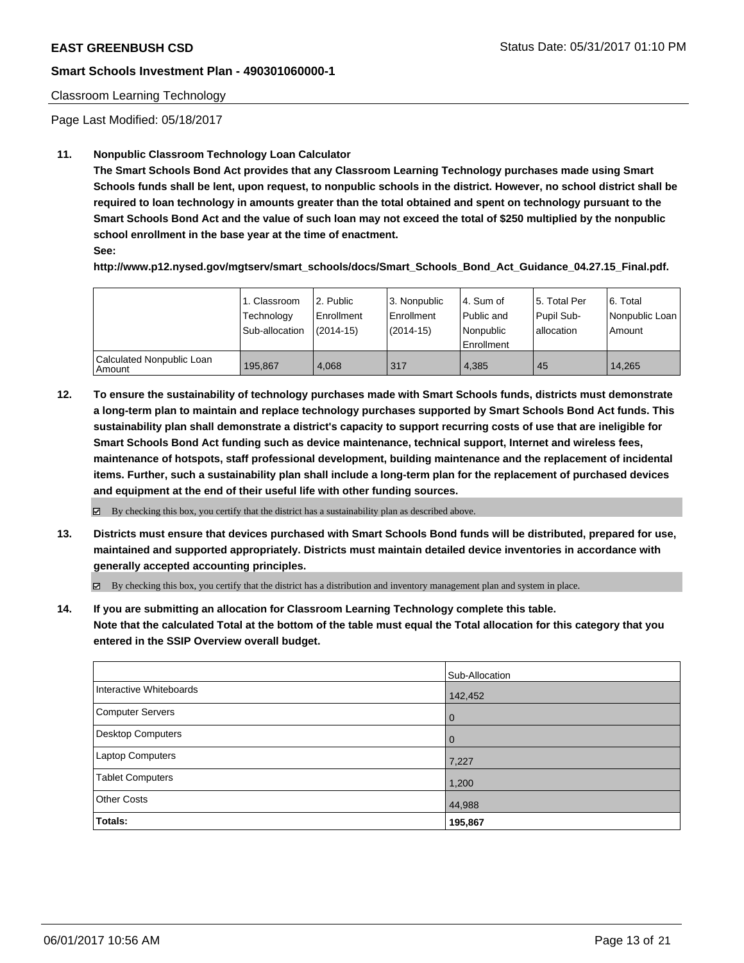## Classroom Learning Technology

Page Last Modified: 05/18/2017

## **11. Nonpublic Classroom Technology Loan Calculator**

**The Smart Schools Bond Act provides that any Classroom Learning Technology purchases made using Smart Schools funds shall be lent, upon request, to nonpublic schools in the district. However, no school district shall be required to loan technology in amounts greater than the total obtained and spent on technology pursuant to the Smart Schools Bond Act and the value of such loan may not exceed the total of \$250 multiplied by the nonpublic school enrollment in the base year at the time of enactment.**

**See:**

**http://www.p12.nysed.gov/mgtserv/smart\_schools/docs/Smart\_Schools\_Bond\_Act\_Guidance\_04.27.15\_Final.pdf.**

|                                       | 1. Classroom<br>Technology<br>Sub-allocation | 12. Public<br>l Enrollment<br>$(2014-15)$ | l 3. Nonpublic<br>Enrollment<br>(2014-15) | l 4. Sum of<br>Public and<br>l Nonpublic<br>Enrollment | 15. Total Per<br>Pupil Sub-<br>I allocation | 6. Total<br>  Nonpublic Loan  <br>Amount |
|---------------------------------------|----------------------------------------------|-------------------------------------------|-------------------------------------------|--------------------------------------------------------|---------------------------------------------|------------------------------------------|
| Calculated Nonpublic Loan<br>  Amount | 195.867                                      | 4.068                                     | 317                                       | 4.385                                                  | 45                                          | 14.265                                   |

**12. To ensure the sustainability of technology purchases made with Smart Schools funds, districts must demonstrate a long-term plan to maintain and replace technology purchases supported by Smart Schools Bond Act funds. This sustainability plan shall demonstrate a district's capacity to support recurring costs of use that are ineligible for Smart Schools Bond Act funding such as device maintenance, technical support, Internet and wireless fees, maintenance of hotspots, staff professional development, building maintenance and the replacement of incidental items. Further, such a sustainability plan shall include a long-term plan for the replacement of purchased devices and equipment at the end of their useful life with other funding sources.**

 $\boxtimes$  By checking this box, you certify that the district has a sustainability plan as described above.

**13. Districts must ensure that devices purchased with Smart Schools Bond funds will be distributed, prepared for use, maintained and supported appropriately. Districts must maintain detailed device inventories in accordance with generally accepted accounting principles.**

By checking this box, you certify that the district has a distribution and inventory management plan and system in place.

**14. If you are submitting an allocation for Classroom Learning Technology complete this table. Note that the calculated Total at the bottom of the table must equal the Total allocation for this category that you entered in the SSIP Overview overall budget.**

|                          | Sub-Allocation |
|--------------------------|----------------|
| Interactive Whiteboards  | 142,452        |
| Computer Servers         | $\overline{0}$ |
| <b>Desktop Computers</b> | $\overline{0}$ |
| Laptop Computers         | 7,227          |
| <b>Tablet Computers</b>  | 1,200          |
| <b>Other Costs</b>       | 44,988         |
| Totals:                  | 195,867        |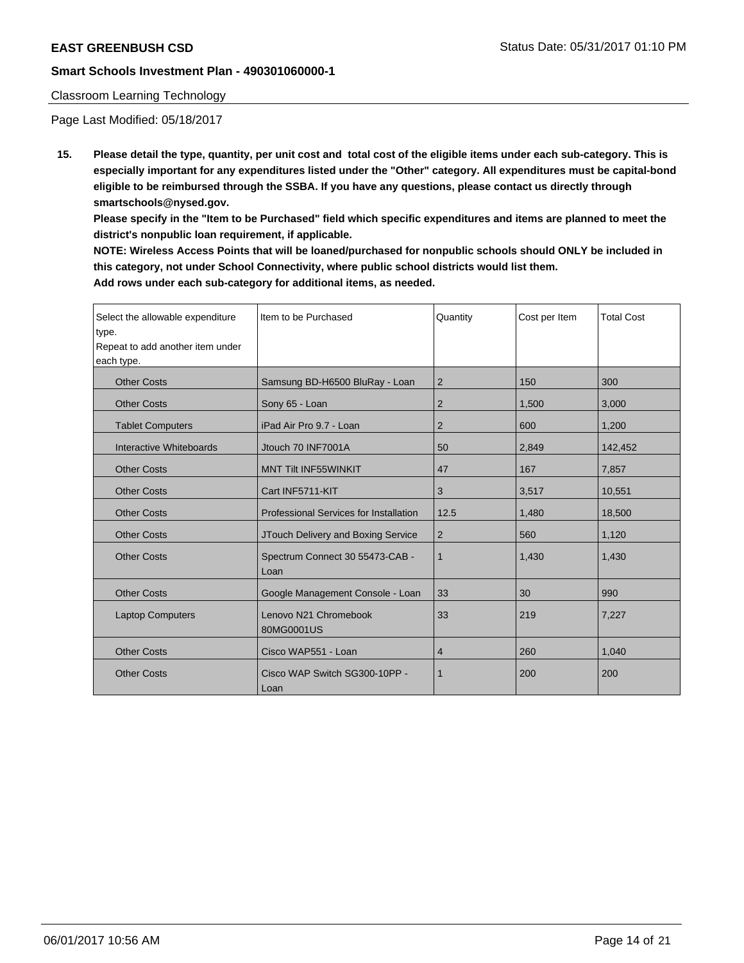#### Classroom Learning Technology

Page Last Modified: 05/18/2017

**15. Please detail the type, quantity, per unit cost and total cost of the eligible items under each sub-category. This is especially important for any expenditures listed under the "Other" category. All expenditures must be capital-bond eligible to be reimbursed through the SSBA. If you have any questions, please contact us directly through smartschools@nysed.gov.**

**Please specify in the "Item to be Purchased" field which specific expenditures and items are planned to meet the district's nonpublic loan requirement, if applicable.**

**NOTE: Wireless Access Points that will be loaned/purchased for nonpublic schools should ONLY be included in this category, not under School Connectivity, where public school districts would list them. Add rows under each sub-category for additional items, as needed.**

| Select the allowable expenditure<br>type.<br>Repeat to add another item under | Item to be Purchased                          | Quantity       | Cost per Item | <b>Total Cost</b> |
|-------------------------------------------------------------------------------|-----------------------------------------------|----------------|---------------|-------------------|
| each type.                                                                    |                                               |                |               |                   |
| <b>Other Costs</b>                                                            | Samsung BD-H6500 BluRay - Loan                | $\overline{2}$ | 150           | 300               |
| <b>Other Costs</b>                                                            | Sony 65 - Loan                                | 2              | 1,500         | 3,000             |
| <b>Tablet Computers</b>                                                       | iPad Air Pro 9.7 - Loan                       | $\overline{2}$ | 600           | 1,200             |
| Interactive Whiteboards                                                       | Jtouch 70 INF7001A                            | 50             | 2,849         | 142,452           |
| <b>Other Costs</b>                                                            | <b>MNT Tilt INF55WINKIT</b>                   | 47             | 167           | 7,857             |
| <b>Other Costs</b>                                                            | Cart INF5711-KIT                              | 3              | 3,517         | 10,551            |
| <b>Other Costs</b>                                                            | <b>Professional Services for Installation</b> | 12.5           | 1,480         | 18,500            |
| <b>Other Costs</b>                                                            | JTouch Delivery and Boxing Service            | $\overline{2}$ | 560           | 1,120             |
| <b>Other Costs</b>                                                            | Spectrum Connect 30 55473-CAB -<br>Loan       | $\overline{1}$ | 1,430         | 1,430             |
| <b>Other Costs</b>                                                            | Google Management Console - Loan              | 33             | 30            | 990               |
| <b>Laptop Computers</b>                                                       | Lenovo N21 Chromebook<br>80MG0001US           | 33             | 219           | 7,227             |
| <b>Other Costs</b>                                                            | Cisco WAP551 - Loan                           | 4              | 260           | 1,040             |
| <b>Other Costs</b>                                                            | Cisco WAP Switch SG300-10PP -<br>Loan         | 1              | 200           | 200               |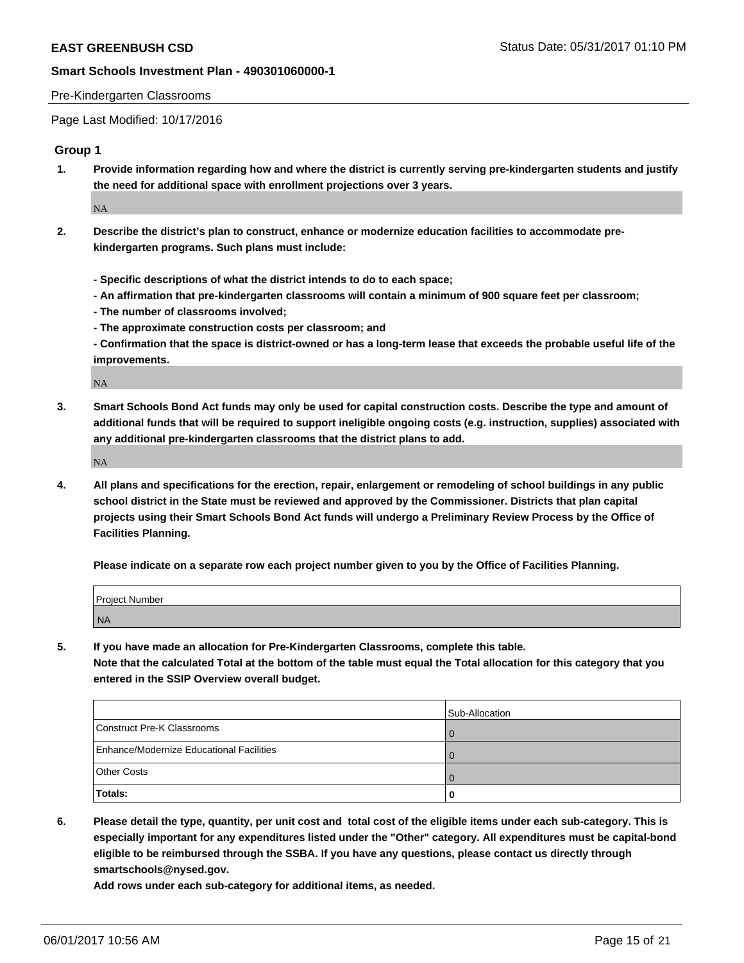#### Pre-Kindergarten Classrooms

Page Last Modified: 10/17/2016

#### **Group 1**

**1. Provide information regarding how and where the district is currently serving pre-kindergarten students and justify the need for additional space with enrollment projections over 3 years.**

NA

- **2. Describe the district's plan to construct, enhance or modernize education facilities to accommodate prekindergarten programs. Such plans must include:**
	- **Specific descriptions of what the district intends to do to each space;**
	- **An affirmation that pre-kindergarten classrooms will contain a minimum of 900 square feet per classroom;**
	- **The number of classrooms involved;**
	- **The approximate construction costs per classroom; and**
	- **Confirmation that the space is district-owned or has a long-term lease that exceeds the probable useful life of the improvements.**

NA

**3. Smart Schools Bond Act funds may only be used for capital construction costs. Describe the type and amount of additional funds that will be required to support ineligible ongoing costs (e.g. instruction, supplies) associated with any additional pre-kindergarten classrooms that the district plans to add.**

NA

**4. All plans and specifications for the erection, repair, enlargement or remodeling of school buildings in any public school district in the State must be reviewed and approved by the Commissioner. Districts that plan capital projects using their Smart Schools Bond Act funds will undergo a Preliminary Review Process by the Office of Facilities Planning.**

**Please indicate on a separate row each project number given to you by the Office of Facilities Planning.**

| Project Number |
|----------------|
| <b>NA</b>      |

**5. If you have made an allocation for Pre-Kindergarten Classrooms, complete this table. Note that the calculated Total at the bottom of the table must equal the Total allocation for this category that you entered in the SSIP Overview overall budget.**

|                                          | Sub-Allocation |
|------------------------------------------|----------------|
| Construct Pre-K Classrooms               |                |
| Enhance/Modernize Educational Facilities |                |
| <b>Other Costs</b>                       |                |
| Totals:                                  | u              |

**6. Please detail the type, quantity, per unit cost and total cost of the eligible items under each sub-category. This is especially important for any expenditures listed under the "Other" category. All expenditures must be capital-bond eligible to be reimbursed through the SSBA. If you have any questions, please contact us directly through smartschools@nysed.gov.**

**Add rows under each sub-category for additional items, as needed.**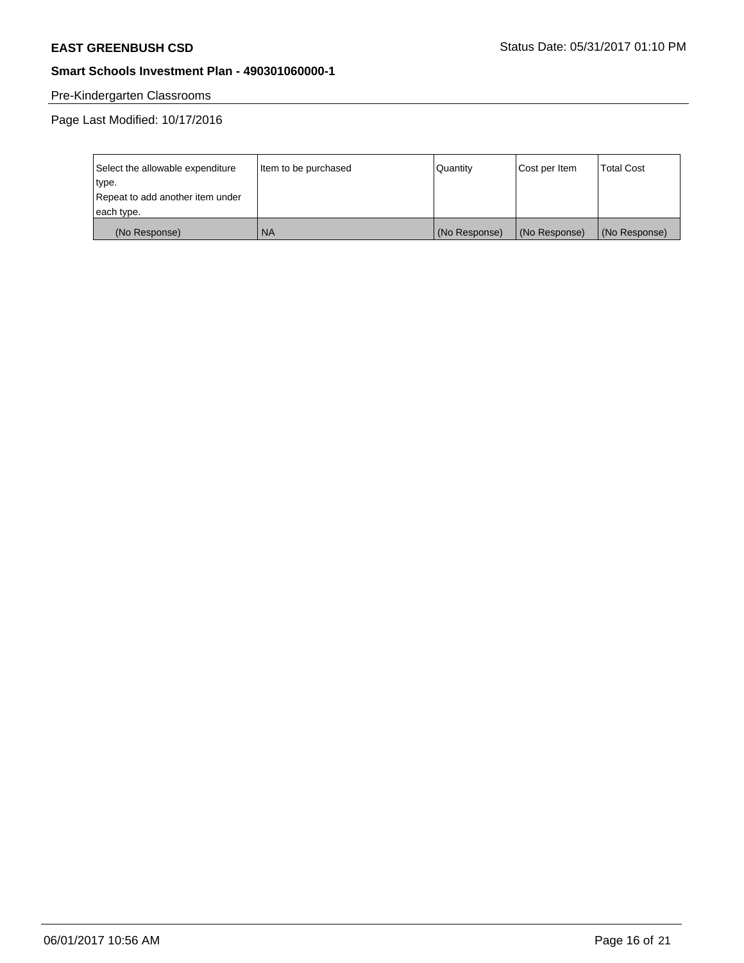# Pre-Kindergarten Classrooms

Page Last Modified: 10/17/2016

| Select the allowable expenditure | Item to be purchased | Quantity      | Cost per Item | <b>Total Cost</b> |
|----------------------------------|----------------------|---------------|---------------|-------------------|
| type.                            |                      |               |               |                   |
| Repeat to add another item under |                      |               |               |                   |
| each type.                       |                      |               |               |                   |
| (No Response)                    | <b>NA</b>            | (No Response) | (No Response) | (No Response)     |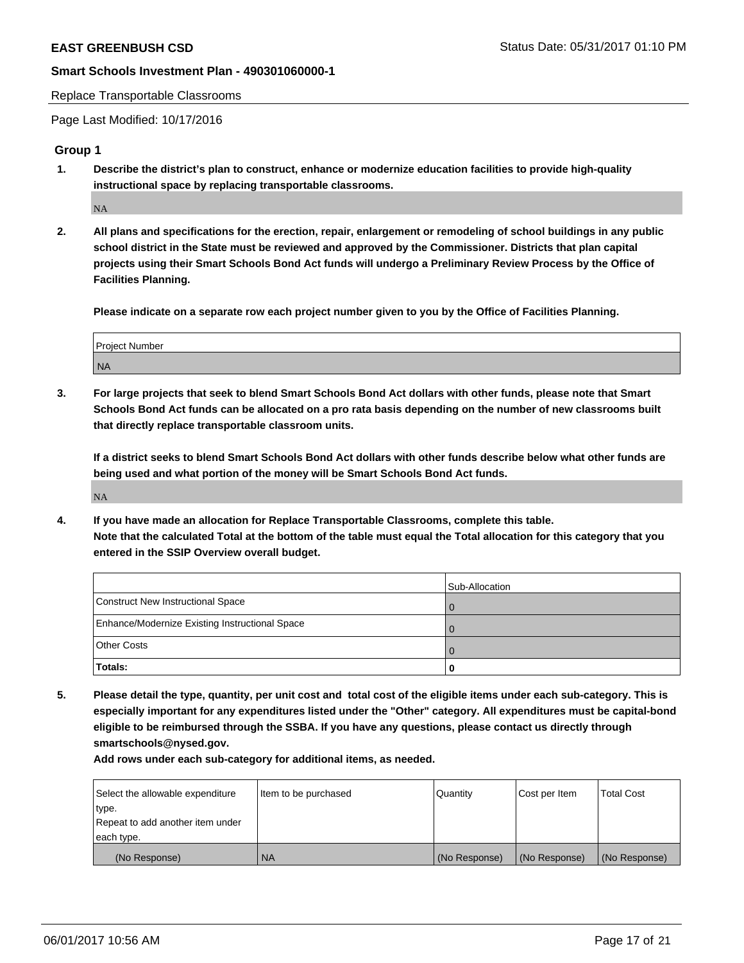#### Replace Transportable Classrooms

Page Last Modified: 10/17/2016

### **Group 1**

**1. Describe the district's plan to construct, enhance or modernize education facilities to provide high-quality instructional space by replacing transportable classrooms.**

NA

**2. All plans and specifications for the erection, repair, enlargement or remodeling of school buildings in any public school district in the State must be reviewed and approved by the Commissioner. Districts that plan capital projects using their Smart Schools Bond Act funds will undergo a Preliminary Review Process by the Office of Facilities Planning.**

**Please indicate on a separate row each project number given to you by the Office of Facilities Planning.**

| Project Number |  |  |
|----------------|--|--|
|                |  |  |
| <b>NA</b>      |  |  |

**3. For large projects that seek to blend Smart Schools Bond Act dollars with other funds, please note that Smart Schools Bond Act funds can be allocated on a pro rata basis depending on the number of new classrooms built that directly replace transportable classroom units.**

**If a district seeks to blend Smart Schools Bond Act dollars with other funds describe below what other funds are being used and what portion of the money will be Smart Schools Bond Act funds.**

NA

**4. If you have made an allocation for Replace Transportable Classrooms, complete this table. Note that the calculated Total at the bottom of the table must equal the Total allocation for this category that you entered in the SSIP Overview overall budget.**

|                                                | Sub-Allocation |
|------------------------------------------------|----------------|
| Construct New Instructional Space              |                |
| Enhance/Modernize Existing Instructional Space |                |
| <b>Other Costs</b>                             |                |
| Totals:                                        | -0             |

**5. Please detail the type, quantity, per unit cost and total cost of the eligible items under each sub-category. This is especially important for any expenditures listed under the "Other" category. All expenditures must be capital-bond eligible to be reimbursed through the SSBA. If you have any questions, please contact us directly through smartschools@nysed.gov.**

**Add rows under each sub-category for additional items, as needed.**

| Select the allowable expenditure | I ltem to be purchased | Quantity      | Cost per Item | <b>Total Cost</b> |
|----------------------------------|------------------------|---------------|---------------|-------------------|
| type.                            |                        |               |               |                   |
| Repeat to add another item under |                        |               |               |                   |
| each type.                       |                        |               |               |                   |
| (No Response)                    | <b>NA</b>              | (No Response) | (No Response) | (No Response)     |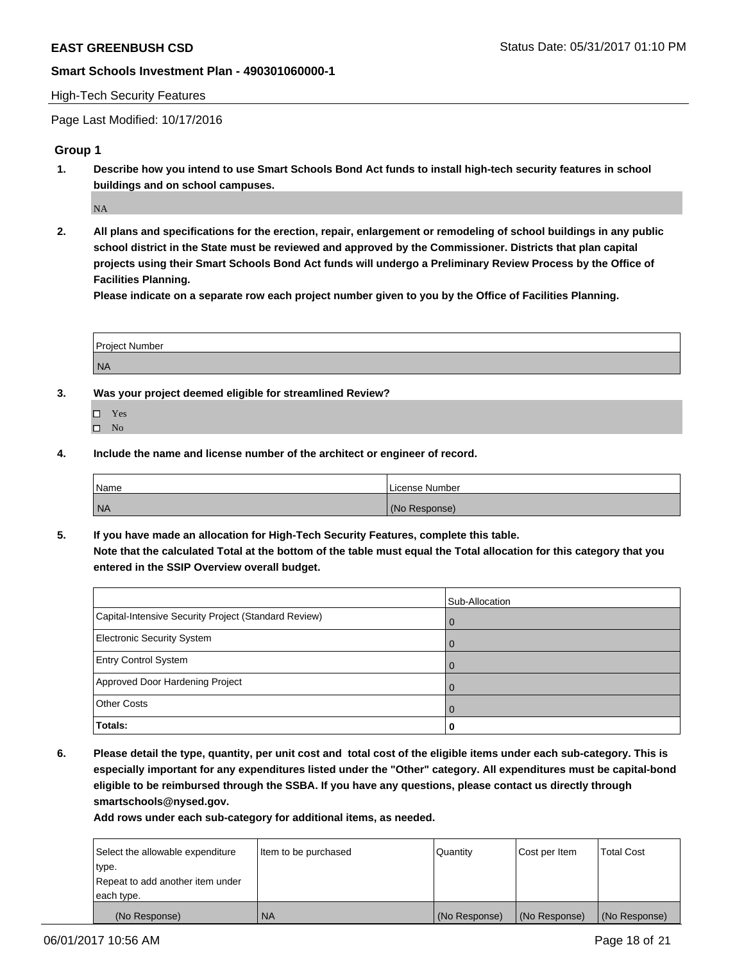#### High-Tech Security Features

Page Last Modified: 10/17/2016

#### **Group 1**

**1. Describe how you intend to use Smart Schools Bond Act funds to install high-tech security features in school buildings and on school campuses.**

NA

**2. All plans and specifications for the erection, repair, enlargement or remodeling of school buildings in any public school district in the State must be reviewed and approved by the Commissioner. Districts that plan capital projects using their Smart Schools Bond Act funds will undergo a Preliminary Review Process by the Office of Facilities Planning.** 

**Please indicate on a separate row each project number given to you by the Office of Facilities Planning.**

| <b>Project Number</b> |  |
|-----------------------|--|
| <b>NA</b>             |  |

**3. Was your project deemed eligible for streamlined Review?**

Yes  $\hfill \square$  No

**4. Include the name and license number of the architect or engineer of record.**

| Name      | License Number |
|-----------|----------------|
| <b>NA</b> | (No Response)  |

**5. If you have made an allocation for High-Tech Security Features, complete this table. Note that the calculated Total at the bottom of the table must equal the Total allocation for this category that you entered in the SSIP Overview overall budget.**

|                                                      | Sub-Allocation |
|------------------------------------------------------|----------------|
| Capital-Intensive Security Project (Standard Review) | $\Omega$       |
| Electronic Security System                           | $\Omega$       |
| <b>Entry Control System</b>                          | $\Omega$       |
| Approved Door Hardening Project                      | $\Omega$       |
| <b>Other Costs</b>                                   | $\Omega$       |
| Totals:                                              | 0              |

**6. Please detail the type, quantity, per unit cost and total cost of the eligible items under each sub-category. This is especially important for any expenditures listed under the "Other" category. All expenditures must be capital-bond eligible to be reimbursed through the SSBA. If you have any questions, please contact us directly through smartschools@nysed.gov.**

**Add rows under each sub-category for additional items, as needed.**

| Select the allowable expenditure<br>type.      | Item to be purchased | Quantity      | Cost per Item | <b>Total Cost</b> |
|------------------------------------------------|----------------------|---------------|---------------|-------------------|
| Repeat to add another item under<br>each type. |                      |               |               |                   |
| (No Response)                                  | <b>NA</b>            | (No Response) | (No Response) | (No Response)     |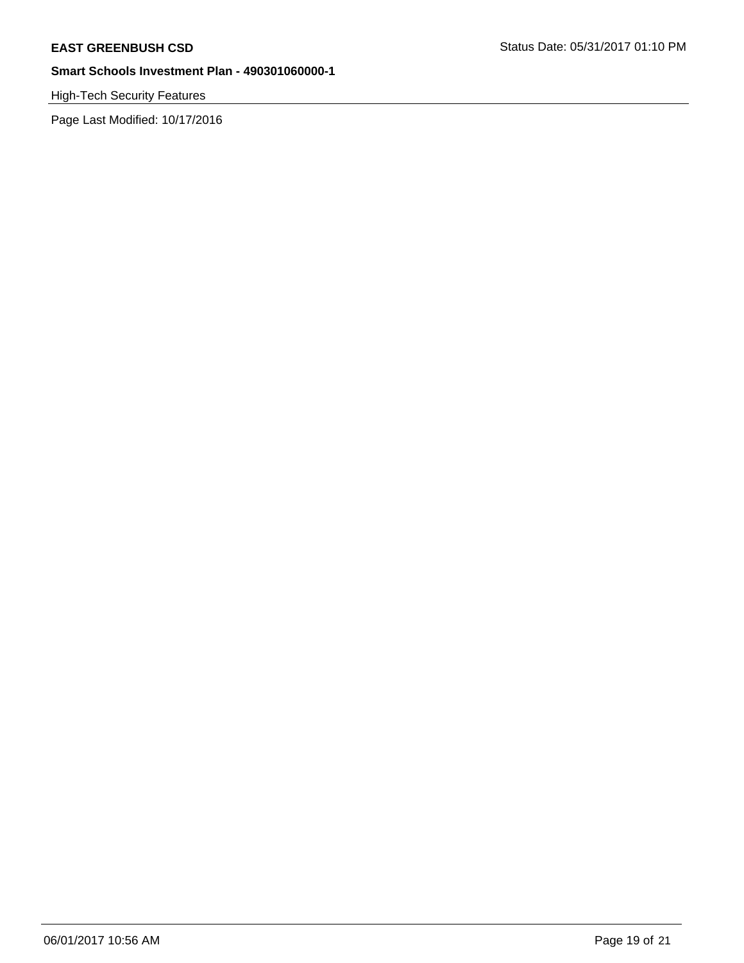# High-Tech Security Features

Page Last Modified: 10/17/2016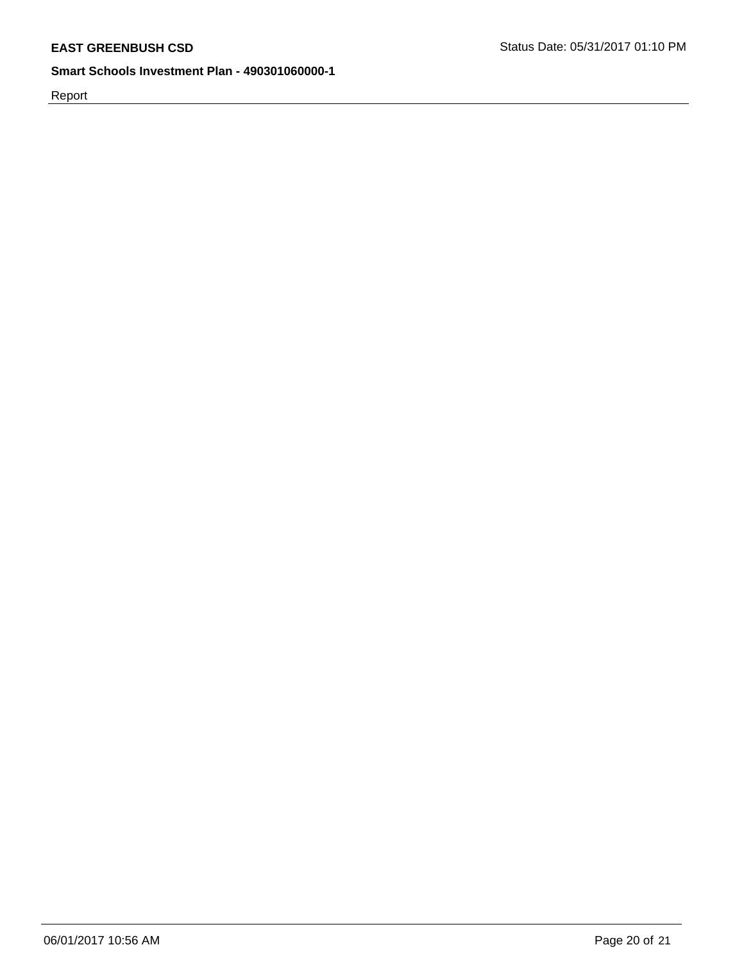Report